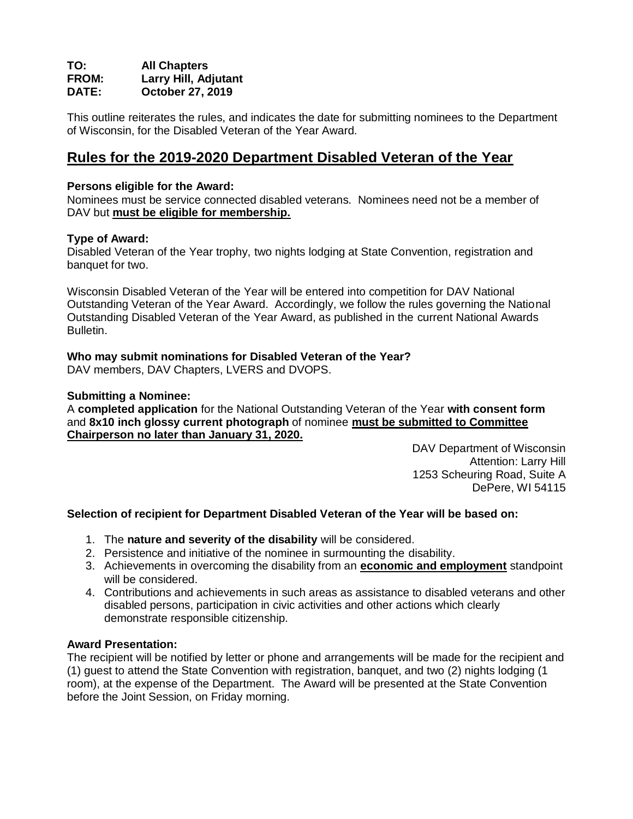#### **TO: All Chapters Larry Hill, Adjutant DATE: October 27, 2019**

This outline reiterates the rules, and indicates the date for submitting nominees to the Department of Wisconsin, for the Disabled Veteran of the Year Award.

# **Rules for the 2019-2020 Department Disabled Veteran of the Year**

#### **Persons eligible for the Award:**

Nominees must be service connected disabled veterans. Nominees need not be a member of DAV but **must be eligible for membership.**

#### **Type of Award:**

Disabled Veteran of the Year trophy, two nights lodging at State Convention, registration and banquet for two.

Wisconsin Disabled Veteran of the Year will be entered into competition for DAV National Outstanding Veteran of the Year Award. Accordingly, we follow the rules governing the National Outstanding Disabled Veteran of the Year Award, as published in the current National Awards Bulletin.

#### **Who may submit nominations for Disabled Veteran of the Year?**

DAV members, DAV Chapters, LVERS and DVOPS.

#### **Submitting a Nominee:**

A **completed application** for the National Outstanding Veteran of the Year **with consent form** and **8x10 inch glossy current photograph** of nominee **must be submitted to Committee Chairperson no later than January 31, 2020.**

> DAV Department of Wisconsin Attention: Larry Hill 1253 Scheuring Road, Suite A DePere, WI 54115

#### **Selection of recipient for Department Disabled Veteran of the Year will be based on:**

- 1. The **nature and severity of the disability** will be considered.
- 2. Persistence and initiative of the nominee in surmounting the disability.
- 3. Achievements in overcoming the disability from an **economic and employment** standpoint will be considered.
- 4. Contributions and achievements in such areas as assistance to disabled veterans and other disabled persons, participation in civic activities and other actions which clearly demonstrate responsible citizenship.

#### **Award Presentation:**

The recipient will be notified by letter or phone and arrangements will be made for the recipient and (1) guest to attend the State Convention with registration, banquet, and two (2) nights lodging (1 room), at the expense of the Department. The Award will be presented at the State Convention before the Joint Session, on Friday morning.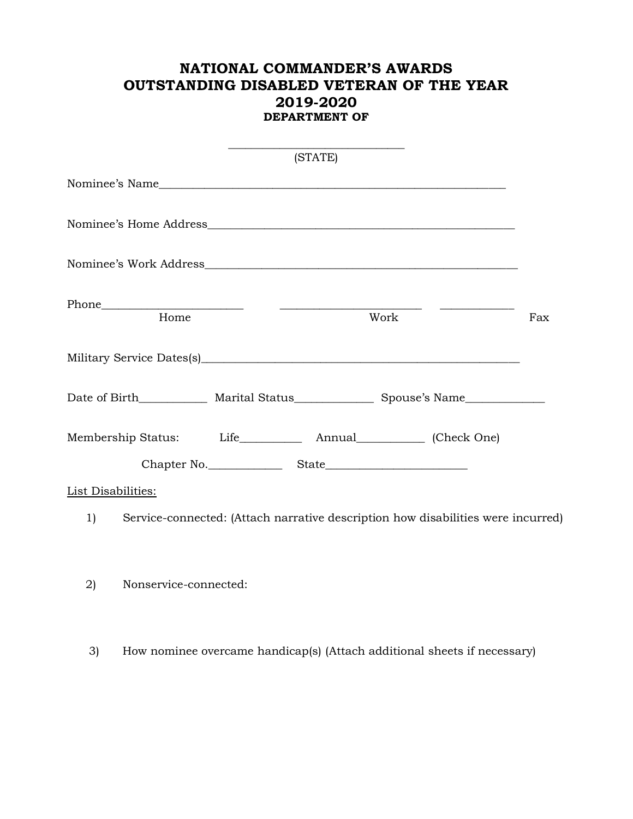## **NATIONAL COMMANDER'S AWARDS OUTSTANDING DISABLED VETERAN OF THE YEAR 2019-2020 DEPARTMENT OF**

|                                                                                        |                                                                                  | (STATE) |      |     |
|----------------------------------------------------------------------------------------|----------------------------------------------------------------------------------|---------|------|-----|
|                                                                                        |                                                                                  |         |      |     |
|                                                                                        |                                                                                  |         |      |     |
|                                                                                        |                                                                                  |         |      |     |
| Home                                                                                   |                                                                                  |         | Work | Fax |
|                                                                                        |                                                                                  |         |      |     |
| Date of Birth______________ Marital Status________________ Spouse's Name______________ |                                                                                  |         |      |     |
|                                                                                        |                                                                                  |         |      |     |
|                                                                                        |                                                                                  |         |      |     |
| <b>List Disabilities:</b>                                                              |                                                                                  |         |      |     |
| 1)                                                                                     | Service-connected: (Attach narrative description how disabilities were incurred) |         |      |     |
| Nonservice-connected:<br>2)                                                            |                                                                                  |         |      |     |

3) How nominee overcame handicap(s) (Attach additional sheets if necessary)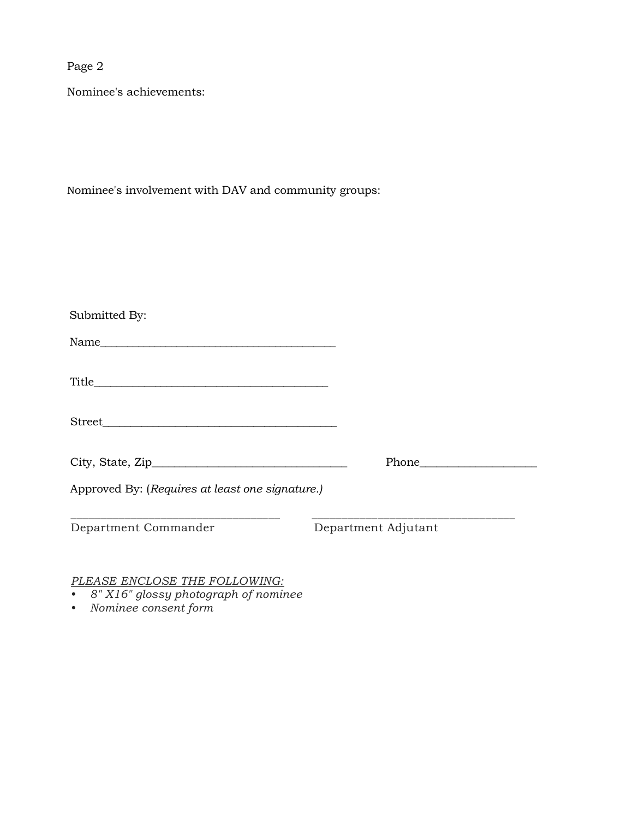Page 2

Nominee's achievements:

Nominee's involvement with DAV and community groups:

| Submitted By:                                   |                     |
|-------------------------------------------------|---------------------|
|                                                 |                     |
|                                                 |                     |
| Street                                          |                     |
|                                                 | Phone               |
| Approved By: (Requires at least one signature.) |                     |
| Department Commander                            | Department Adjutant |

*PLEASE ENCLOSE THE FOLLOWING:*

- *8" X16" glossy photograph of nominee*
- *Nominee consent form*